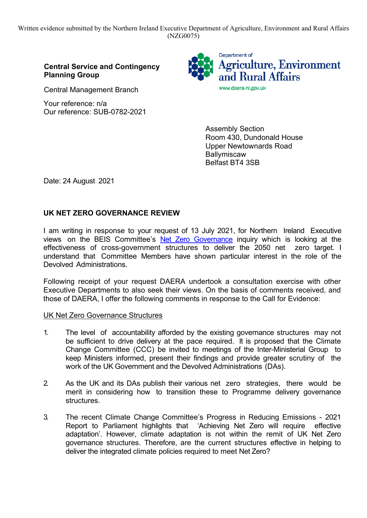Written evidence submitted by the Northern Ireland Executive Department of Agriculture, Environment and Rural Affairs (NZG0075)

## **Central Service and Contingency Planning Group**

Central Management Branch

Your reference: n/a Our reference: SUB-0782-2021



Assembly Section Room 430, Dundonald House Upper Newtownards Road **Ballymiscaw** Belfast BT4 3SB

Date: 24 August 2021

# **UK NET ZERO GOVERNANCE REVIEW**

I am writing in response to your request of 13 July 2021, for Northern Ireland Executive views on the BEIS Committee's Net [Z](https://committees.parliament.uk/work/1343/net-zero-governance/)ero [G](https://committees.parliament.uk/work/1343/net-zero-governance/)overnance inquiry which is looking at the effectiveness of cross-government structures to deliver the 2050 net zero target. I understand that Committee Members have shown particular interest in the role of the Devolved Administrations.

Following receipt of your request DAERA undertook a consultation exercise with other Executive Departments to also seek their views. On the basis of comments received, and those of DAERA, I offer the following comments in response to the Call for Evidence:

### UK Net Zero Governance Structures

- 1. The level of accountability afforded by the existing governance structures may not be sufficient to drive delivery at the pace required. It is proposed that the Climate Change Committee (CCC) be invited to meetings of the Inter-Ministerial Group to keep Ministers informed, present their findings and provide greater scrutiny of the work of the UK Government and the Devolved Administrations (DAs).
- 2. As the UK and its DAs publish their various net zero strategies, there would be merit in considering how to transition these to Programme delivery governance structures.
- 3. The recent Climate Change Committee's Progress in Reducing Emissions 2021 Report to Parliament highlights that 'Achieving Net Zero will require effective adaptation'. However, climate adaptation is not within the remit of UK Net Zero governance structures. Therefore, are the current structures effective in helping to deliver the integrated climate policies required to meet Net Zero?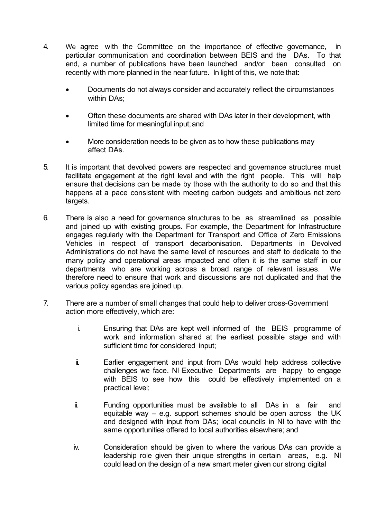- 4. We agree with the Committee on the importance of effective governance, in particular communication and coordination between BEIS and the DAs. To that end, a number of publications have been launched and/or been consulted on recently with more planned in the near future. In light of this, we note that:
	- Documents do not always consider and accurately reflect the circumstances within DAs:
	- Often these documents are shared with DAs later in their development, with limited time for meaningful input; and
	- More consideration needs to be given as to how these publications may affect DAs.
- 5. It is important that devolved powers are respected and governance structures must facilitate engagement at the right level and with the right people. This will help ensure that decisions can be made by those with the authority to do so and that this happens at a pace consistent with meeting carbon budgets and ambitious net zero targets.
- 6. There is also a need for governance structures to be as streamlined as possible and joined up with existing groups. For example, the Department for Infrastructure engages regularly with the Department for Transport and Office of Zero Emissions Vehicles in respect of transport decarbonisation. Departments in Devolved Administrations do not have the same level of resources and staff to dedicate to the many policy and operational areas impacted and often it is the same staff in our departments who are working across a broad range of relevant issues. We therefore need to ensure that work and discussions are not duplicated and that the various policy agendas are joined up.
- 7. There are a number of small changes that could help to deliver cross-Government action more effectively, which are:
	- i. Ensuring that DAs are kept well informed of the BEIS programme of work and information shared at the earliest possible stage and with sufficient time for considered input;
	- ii. Earlier engagement and input from DAs would help address collective challenges we face. NI Executive Departments are happy to engage with BEIS to see how this could be effectively implemented on a practical level;
	- $\ddot{\mathbf{u}}$  Funding opportunities must be available to all DAs in a fair and equitable way  $-$  e.g. support schemes should be open across the UK and designed with input from DAs; local councils in NI to have with the same opportunities offered to local authorities elsewhere; and
	- iv. Consideration should be given to where the various DAs can provide a leadership role given their unique strengths in certain areas, e.g. NI could lead on the design of a new smart meter given our strong digital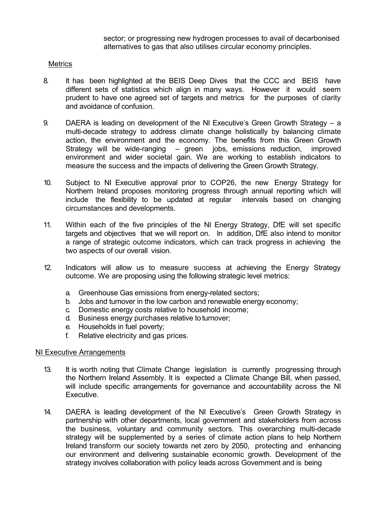sector; or progressing new hydrogen processes to avail of decarbonised alternatives to gas that also utilises circular economy principles.

#### **Metrics**

- 8. It has been highlighted at the BEIS Deep Dives that the CCC and BEIS have different sets of statistics which align in many ways. However it would seem prudent to have one agreed set of targets and metrics for the purposes of clarity and avoidance of confusion.
- 9. DAERA is leading on development of the NI Executive's Green Growth Strategy a multi-decade strategy to address climate change holistically by balancing climate action, the environment and the economy. The benefits from this Green Growth Strategy will be wide-ranging – green jobs, emissions reduction, improved environment and wider societal gain. We are working to establish indicators to measure the success and the impacts of delivering the Green Growth Strategy.
- 10. Subject to NI Executive approval prior to COP26, the new Energy Strategy for Northern Ireland proposes monitoring progress through annual reporting which will include the flexibility to be updated at regular intervals based on changing circumstances and developments.
- 11. Within each of the five principles of the NI Energy Strategy, DfE will set specific targets and objectives that we will report on. In addition, DfE also intend to monitor a range of strategic outcome indicators, which can track progress in achieving the two aspects of our overall vision.
- 12. Indicators will allow us to measure success at achieving the Energy Strategy outcome. We are proposing using the following strategic level metrics:
	- a. Greenhouse Gas emissions from energy-related sectors;
	- b. Jobs and turnover in the low carbon and renewable energy economy;
	- c. Domestic energy costs relative to household income;
	- d. Business energy purchases relative toturnover;
	- e. Households in fuel poverty;
	- f. Relative electricity and gas prices.

#### NI Executive Arrangements

- 13. It is worth noting that Climate Change legislation is currently progressing through the Northern Ireland Assembly. It is expected a Climate Change Bill, when passed, will include specific arrangements for governance and accountability across the NI Executive.
- 14. DAERA is leading development of the NI Executive's Green Growth Strategy in partnership with other departments, local government and stakeholders from across the business, voluntary and community sectors. This overarching multi-decade strategy will be supplemented by a series of climate action plans to help Northern Ireland transform our society towards net zero by 2050, protecting and enhancing our environment and delivering sustainable economic growth. Development of the strategy involves collaboration with policy leads across Government and is being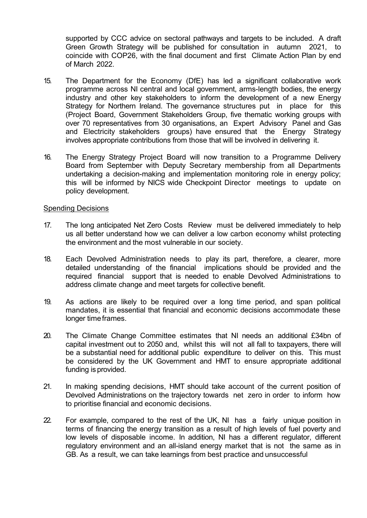supported by CCC advice on sectoral pathways and targets to be included. A draft Green Growth Strategy will be published for consultation in autumn 2021, to coincide with COP26, with the final document and first Climate Action Plan by end of March 2022.

- 15. The Department for the Economy (DfE) has led a significant collaborative work programme across NI central and local government, arms-length bodies, the energy industry and other key stakeholders to inform the development of a new Energy Strategy for Northern Ireland. The governance structures put in place for this (Project Board, Government Stakeholders Group, five thematic working groups with over 70 representatives from 30 organisations, an Expert Advisory Panel and Gas and Electricity stakeholders groups) have ensured that the Energy Strategy involves appropriate contributions from those that will be involved in delivering it.
- 16. The Energy Strategy Project Board will now transition to a Programme Delivery Board from September with Deputy Secretary membership from all Departments undertaking a decision-making and implementation monitoring role in energy policy; this will be informed by NICS wide Checkpoint Director meetings to update on policy development.

#### Spending Decisions

- 17. The long anticipated Net Zero Costs Review must be delivered immediately to help us all better understand how we can deliver a low carbon economy whilst protecting the environment and the most vulnerable in our society.
- 18. Each Devolved Administration needs to play its part, therefore, a clearer, more detailed understanding of the financial implications should be provided and the required financial support that is needed to enable Devolved Administrations to address climate change and meet targets for collective benefit.
- 19. As actions are likely to be required over a long time period, and span political mandates, it is essential that financial and economic decisions accommodate these longer time frames.
- 20. The Climate Change Committee estimates that NI needs an additional £34bn of capital investment out to 2050 and, whilst this will not all fall to taxpayers, there will be a substantial need for additional public expenditure to deliver on this. This must be considered by the UK Government and HMT to ensure appropriate additional funding is provided.
- 21. In making spending decisions, HMT should take account of the current position of Devolved Administrations on the trajectory towards net zero in order to inform how to prioritise financial and economic decisions.
- 22. For example, compared to the rest of the UK, NI has a fairly unique position in terms of financing the energy transition as a result of high levels of fuel poverty and low levels of disposable income. In addition, NI has a different regulator, different regulatory environment and an all-island energy market that is not the same as in GB. As a result, we can take learnings from best practice and unsuccessful